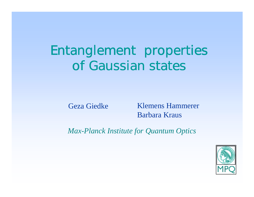# Entanglement properties of Gaussian states

Geza Giedke

 Klemens Hammerer Barbara Kraus

*Max-Planck Institute for Quantum Optics*

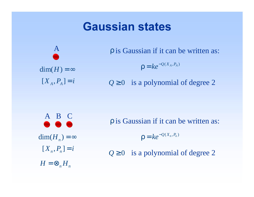# **Gaussian states**



is Gaussian if it can be written as: ρ

$$
\rho = k e^{-Q(X_A, P_A)}
$$

 $Q \ge 0$  is a polynomial of degree 2

A B C  $\dim(H_n) = \infty$  $[X_n, P_n] = i$  $H = \bigotimes_n H_n$ 

p is Gaussian if it can be written as:

 $\rho = k e^{-Q(X_n, P_n)}$ 

 $Q \ge 0$  is a polynomial of degree 2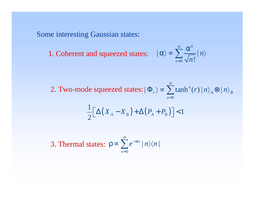Some interesting Gaussian states:

1. Coherent and squeezed states:

$$
|\alpha\rangle \propto \sum_{n=0}^{\infty} \frac{\alpha^n}{\sqrt{n!}} |n\rangle
$$

∞

2. Two-mode squeezed states:  $|\Phi_r\rangle \propto \sum \tanh^n(r)|n\rangle_A \otimes |n\rangle_B$ 0*n* $\langle \Phi_r \rangle \propto \sum \tanh^n(r) |n\rangle_A \otimes |n\rangle$ =

$$
\frac{1}{2} \Big[ \Delta \big( X_A - X_B \big) + \Delta \big( P_A + P_B \big) \Big] < 1
$$

3. Thermal states:  $\rm 0$  $\mid n \rangle \langle n \mid$ *ne n*<sub>/</sub>*n*  $\sum_{n=1}^{\infty}$ = $\rho \propto \sum e^{-\kappa n}\mid n\rangle\langle$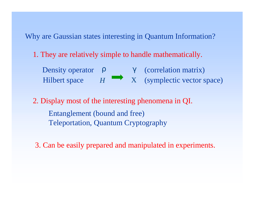Why are Gaussian states interesting in Quantum Information?

1. They are relatively simple to handle mathematically.

ρ *H* γ (correlation matrix) X (symplectic vector space) Density operator Hilbert space

2. Display most of the interesting phenomena in QI. Entanglement (bound and free) Teleportation, Quantum Cryptography

3. Can be easily prepared and manipulated in experiments.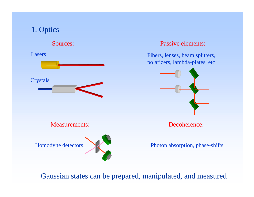# 1. Optics



### Measurements:



### Passive elements:

Fibers, lenses, beam splitters, polarizers, lambda-plates, etc



Decoherence:

Photon absorption, phase-shifts

Gaussian states can be prepared, manipulated, and measured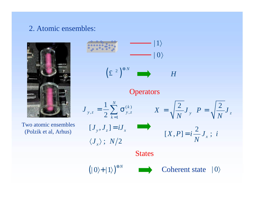## 2. Atomic ensembles:



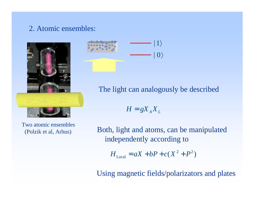## 2. Atomic ensembles:



Two atomic ensembles(Polzik et al, Arhus)



The light can analogously be described

$$
H = gX_A X_L
$$

Both, light and atoms, can be manipulated independently according to

$$
H_{\text{Local}} = aX + bP + c(X^2 + P^2)
$$

Using magnetic fields/polarizators and plates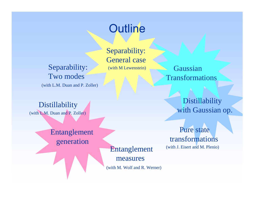# Outline

Separability: Two modes (with L.M. Duan and P. Zoller) Separability: General case(with M Lewenstein)

Distillability (with L.M. Duan and P. Zoller)

> Entanglement generation

Entanglement (with J. Eisert and M. Plenio)

measures

(with M. Wolf and R. Werner)

Gaussian Transformations

> **Distillability** with Gaussian op.

Pure state transformations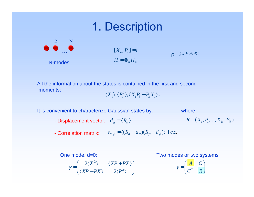# 1. Description



$$
[X_n, P_n] = i
$$
  
\n
$$
H = \otimes_n H_n
$$
  
\n
$$
\rho = k e^{-Q(X_n, P_n)}
$$

All the information about the states is contained in the first and secondmoments:

$$
\langle X_1 \rangle, \langle P_1^2 \rangle, \langle X_1 P_3 + P_3 X_1 \rangle...
$$

It is convenient to characterize Gaussian states by:

where

- $R = (X_1, P_1, \dots, X_N, P_N)$ - Displacement vector:  $d_{\alpha} = \langle R_{\alpha} \rangle$
- Correlation matrix:  $\qquad\gamma_{\alpha,\beta}=\langle (R_{\alpha}-d_{\alpha})(R_{\beta}-d_{\beta})\rangle+c.c.$

#### 2 2 2 2 $=\begin{pmatrix} 2\langle X^2 \rangle & \langle XP+PX \rangle \end{pmatrix}$  $\gamma = \begin{pmatrix} 2\langle X^2 \rangle & \langle XP + PX \ \langle XP + PX \rangle & 2\langle P^2 \rangle \end{pmatrix}$ One mode, d=0: Two modes or two systems

$$
\gamma = \begin{pmatrix} A & C \\ C^T & B \end{pmatrix}
$$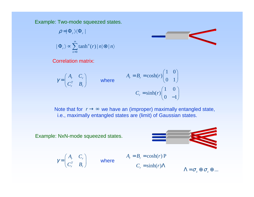Example: Two-mode squeezed states.

$$
\rho = |\Phi_r\rangle\langle\Phi_r|
$$
  

$$
|\Phi_r\rangle \propto \sum_{n=0}^{\infty} \tanh^n(r) |n\rangle \otimes |n\rangle
$$

Correlation matrix:

$$
\gamma = \begin{pmatrix} A_r & C_r \\ C_r^T & B_r \end{pmatrix} \qquad \text{where} \qquad A_r = B_r = \cosh(r) \begin{pmatrix} 1 & 0 \\ 0 & 1 \end{pmatrix}
$$
\n
$$
C_r = \sinh(r) \begin{pmatrix} 1 & 0 \\ 0 & -1 \end{pmatrix}
$$

Note that for  $\ r\rightarrow\infty$  we have an (improper) maximally entangled state, i.e., maximally entangled states are (limit) of Gaussian states.

Example: NxN-mode squeezed states.



P

$$
\gamma = \begin{pmatrix} A_r & C_r \\ C_r^T & B_r \end{pmatrix} \qquad \text{where} \qquad \begin{aligned} A_r &= B_r = \cosh(r) \, \text{R} \\ C_r &= \sinh(r) \, \text{A} \end{aligned}
$$

 $\Lambda$  =  $\sigma$   $_{z}$   $\oplus$   $\sigma$   $_{z}$   $\oplus$  ...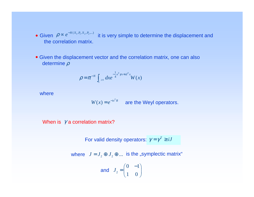- Given  $\rho \propto e^{-H(X_1, P_1, X_2, P_2, ...)}$  it is very simple to determine the displacement and the correlation matrix.
- Given the displacement vector and the correlation matrix, one can also determine ρ

$$
\rho = \pi^{-N} \int_{\mathbf{i}^{2N}} dx e^{-\frac{1}{4}x^T \gamma x + id^T x} W(x)
$$

where

 $W(x) = e^{-ix^TR}$  are the Weyl operators.

When is  $\not\!\!gamma$  a correlation matrix?

For valid density operators:  $\gamma = \gamma^{\scriptscriptstyle T} \geq i J$ 

where  $J = J_{_2} \oplus J_{_2} \oplus ...$  is the "symplectic matrix"

and 
$$
J_2 = \begin{pmatrix} 0 & -1 \\ 1 & 0 \end{pmatrix}
$$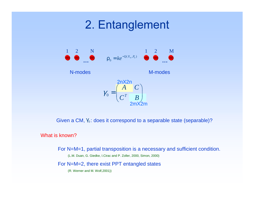# 2. Entanglement



Given a CM,  $\gamma_\mathrm{o}$ : does it correspond to a separable state (separable)?

#### What is known?

For N=M=1, partial transposition is a necessary and sufficient condition.

(L.M. Duan, G. Giedke, I.Cirac and P. Zoller, 2000, Simon, 2000)

For N=M=2, there exist PPT entangled states

(R. Werner and M. Wolf,2001))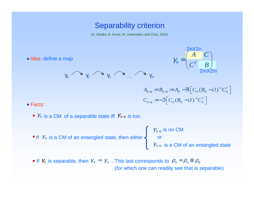## Separability criterion

(G. Giedke, B. Kraus, M. Lewenstein, and Cirac, 2001)

• Idea: define a map





$$
A_{N+1} := B_{N+1} := A_N - \Re \Big[ C_N (B_N - iJ)^{-1} C_N^T \Big]
$$
  

$$
C_{N+1} := -\Im \Big[ C_N (B_N - iJ)^{-1} C_N^T \Big]
$$

#### • Facts:

- $\mathcal{V}_N$  is a CM of a separable state iff  $\mathcal{V}_{N+1}$  is too.
- If  $\,\mathcal{Y}_\text{\tiny{N}}\,$  is a CM of an entangled state, then either

$$
\gamma_{N+1}
$$
 is no CM  
or  

$$
\gamma_{N+1}
$$
 is a CM of an entangled state

If  $\gamma_0$  is separable, then  $\gamma_{_N}\to\gamma_{_\infty}$  . This last corresponds to  $\rho_{_\infty}\! =\! \rho_{_A}\!\otimes\!\rho_{_B}$ (for which one can readily see that is separable)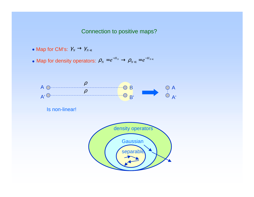### Connection to positive maps?

- Map for CM's:  $\mathcal{Y}_N \to \mathcal{Y}_{N+1}$
- Map for density operators:  $\rho_{\scriptscriptstyle N}$  =  $e^{-n_{\scriptscriptstyle N}}$   $\to$   $\rho_{\scriptscriptstyle N+1}$  =  $e^{-n_{\scriptscriptstyle N+1}}$  $\bm{\rho}_{\scriptscriptstyle N} = e^{-H_{\scriptscriptstyle N}} \rightarrow \bm{\rho}_{\scriptscriptstyle N+1} = e^{-H_{\scriptscriptstyle N+1}}$

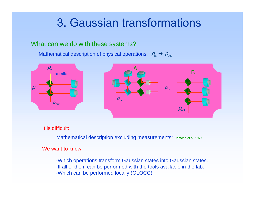# 3. Gaussian transformations

### What can we do with these systems?

Mathematical description of physical operations:  $\,\rho_{_{\textup{in}}}^{} \rightarrow \rho_{_{\textup{out}}}^{}$ 



It is difficult:

Mathematical description excluding measurements: Demoen et al, 1977

We want to know:

-Which operations transform Gaussian states into Gaussian states. -If all of them can be performed with the tools available in the lab. -Which can be performed locally (GLOCC).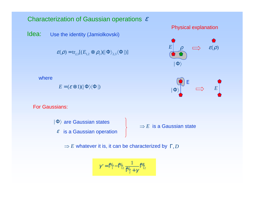### Characterization of Gaussian operations  $\varepsilon$

Idea: Use the identity (Jamiolkovski)

 $E$  = ( $\varepsilon$   $\otimes$  1)(|  $\Phi$ ) $\!\!\sqrt[\scriptstyle{\blacklozenge}$   $\!\!\sqrt[\scriptstyle{\blacklozenge}$   $\,$ 

 $\mathcal{E}(\boldsymbol{\rho}) = \text{tr}_{2,3}[(E_{1,2} \otimes \boldsymbol{\rho}_3) (\ket{\Phi}_{2,3} \!\bra{\Phi}))]$ 







For Gaussians:

where



 $\Rightarrow$   $E$  whatever it is, it can be characterized by  $\Gamma, D$ 

$$
\gamma' = \mathbf{f}_{1}^{\mathcal{N}} - \mathbf{f}_{12}^{\mathcal{N}} \frac{1}{\mathbf{f}_{2}^{\mathcal{N}} + \gamma} \mathbf{f}_{12}^{\mathcal{N}}
$$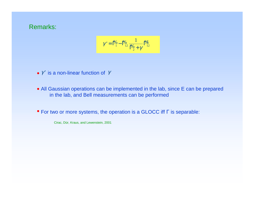### Remarks:

$$
\gamma' = \mathbb{P}_1^6 - \mathbb{P}_{12}^6 \frac{1}{\mathbb{P}_2^6 + \gamma} \mathbb{P}_{12}^6
$$

•  $\gamma'$  is a non-linear function of  $\gamma$ 

- All Gaussian operations can be implemented in the lab, since E can be prepared in the lab, and Bell measurements can be performed
- For two or more systems, the operation is a GLOCC iff Γ is separable:

Cirac, Dür, Kraus, and Lewenstein, 2001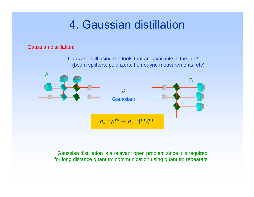# 4. Gaussian distillation

Gaussian distillation:

Can we distill using the tools that are available in the lab? (beam splitters, polarizers, homodyne measurements, etc)



Gaussian distillation is a relevant open problem since it is required for long distance quantum communication using quantum repeaters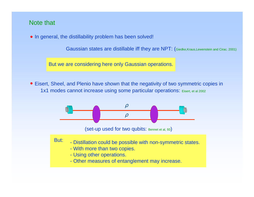### Note that

• In general, the distillability problem has been solved!

Gaussian states are distillable iff they are NPT: (Giedke,Kraus,Lewenstein and Cirac*.* 2001)

But we are considering here only Gaussian operations.

Eisert, Sheel, and Plenio have shown that the negativity of two symmetric copies in 1x1 modes cannot increase using some particular operations: Eisert, et al 2002

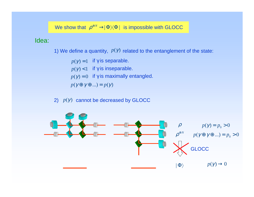We show that  $\rho^{\otimes N} \to \!\! \Phi \rangle \! \langle \Phi \! \mid \,$  is impossible with GLOCC

### Idea:

1) We define a quantity,  $p(Y)$  related to the entanglement of the state:

 $p(\gamma)$  = 1  $\;$  if  $\gamma$  is separable.  $p(\gamma)$  < 1 if  $\gamma$  is inseparable.  $p(\gamma) = 0$  if  $\gamma$  is maximally entangled.  $p(\gamma \oplus \gamma \oplus ...) = p(\gamma)$ 

2)  $p(\gamma)$  cannot be decreased by GLOCC

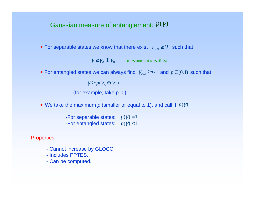## Gaussian measure of entanglement:  $\mathit{p}(\mathit{\gamma})$

• For separable states we know that there exist  $\gamma_{A,B} \ge iJ$  such that

 $\gamma \ge \gamma A \oplus \gamma_B$  (R. Werner and M. Wolf, 00)

For entangled states we can always find  $\,\gamma_{{}_{A,B}}\geq iJ\,$  and  $\,p\in[0,1)\,$  such that

 $\gamma \ge p(\gamma_A \oplus \gamma_B)$ 

(for example, take p=0).

We take the maximum  $\bm{p}$  (smaller or equal to 1), and call it  $\ p(\bm{\gamma})$ 

-For separable states:  $p(\gamma) = 1$ -For entangled states:  $p(\gamma)$  < 1

Properties:

- Cannot increase by GLOCC
- Includes PPTES.
- Can be computed.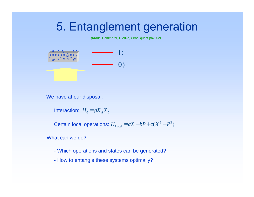# 5. Entanglement generation

(Kraus, Hammerer, Giedke, Cirac, quant-ph2002)

| 0 | 1

We have at our disposal:

 $H_0 = g{X}_A{X}_L$ 

Certain local operations:  $H_{\text{Local}} = aX + bP + c(X^2 + P^2)$ 

What can we do?

- Which operations and states can be generated?
- How to entangle these systems optimally?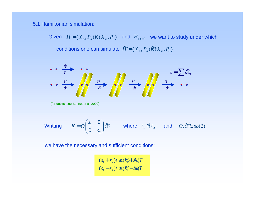5.1 Hamiltonian simulation:

Given  $H = (X_{\overline{A}}, P_{\overline{A}})K(X_{\overline{B}}, P_{\overline{B}})$  and  $H_{\textrm{Local}}$  we want to study under which conditions one can simulate  $\ \hat{H}^{\!\! 0}\!\! = (X_{_A}, P_{_A})\hat{K}\!\! (X_{_B}, P_{_B})$ 



we have the necessary and sufficient conditions:

 $1^{1}$   $92'$   $\mu$   $9\gamma$   $1^{1}$   $92'$  $1^{12}$   $1^{2}$   $1^{2}$   $1^{2}$   $1^{2}$   $1^{2}$  $(s_1 + s_2)t \ge (8\phi + 8\phi)$  $(s_1 - s_2)t \ge (8(0 - 8))$  $s_1 + s_2$   $t \ge (8/6 + 8/6)T$  $s_1 - s_2$   $t \ge (8.6 - 8.6)T$  $+ s_{2}$ ) $t \geq (\frac{9}{9} +$  $-S_{2}$ ) $t \geq (\frac{9}{9} \% + \%$  $\% - \%$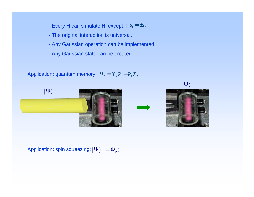- Every H can simulate H' except if  $\,$   $s_{\rm l}$   $=$   $\pm s_{\rm 2}$
- The original interaction is universal.
- Any Gaussian operation can be implemented.
- Any Gaussian state can be created.

Application: quantum memory:  $\boldsymbol{H}_{0} = \boldsymbol{X}_{\scriptscriptstyle{A}} \boldsymbol{P}_{\scriptscriptstyle{L}} - \boldsymbol{P}_{\scriptscriptstyle{A}} \boldsymbol{X}_{\scriptscriptstyle{L}}$ 



Application: spin squeezing:  $|\Psi\rangle^{}_{\scriptscriptstyle{A}}=\mid\!\Phi^{}_{\scriptscriptstyle{r}}\rangle$